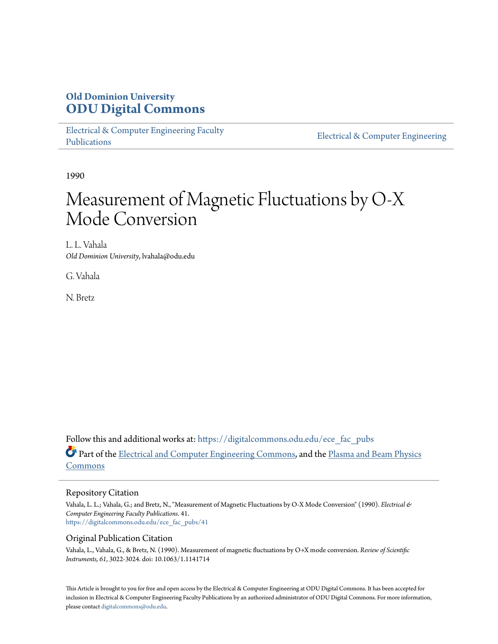## **Old Dominion University [ODU Digital Commons](https://digitalcommons.odu.edu?utm_source=digitalcommons.odu.edu%2Fece_fac_pubs%2F41&utm_medium=PDF&utm_campaign=PDFCoverPages)**

[Electrical & Computer Engineering Faculty](https://digitalcommons.odu.edu/ece_fac_pubs?utm_source=digitalcommons.odu.edu%2Fece_fac_pubs%2F41&utm_medium=PDF&utm_campaign=PDFCoverPages) [Publications](https://digitalcommons.odu.edu/ece_fac_pubs?utm_source=digitalcommons.odu.edu%2Fece_fac_pubs%2F41&utm_medium=PDF&utm_campaign=PDFCoverPages)

[Electrical & Computer Engineering](https://digitalcommons.odu.edu/ece?utm_source=digitalcommons.odu.edu%2Fece_fac_pubs%2F41&utm_medium=PDF&utm_campaign=PDFCoverPages)

1990

# Measurement of Magnetic Fluctuations by O-X Mode Conversion

L. L. Vahala *Old Dominion University*, lvahala@odu.edu

G. Vahala

N. Bretz

Follow this and additional works at: [https://digitalcommons.odu.edu/ece\\_fac\\_pubs](https://digitalcommons.odu.edu/ece_fac_pubs?utm_source=digitalcommons.odu.edu%2Fece_fac_pubs%2F41&utm_medium=PDF&utm_campaign=PDFCoverPages) Part of the [Electrical and Computer Engineering Commons](http://network.bepress.com/hgg/discipline/266?utm_source=digitalcommons.odu.edu%2Fece_fac_pubs%2F41&utm_medium=PDF&utm_campaign=PDFCoverPages), and the [Plasma and Beam Physics](http://network.bepress.com/hgg/discipline/205?utm_source=digitalcommons.odu.edu%2Fece_fac_pubs%2F41&utm_medium=PDF&utm_campaign=PDFCoverPages) [Commons](http://network.bepress.com/hgg/discipline/205?utm_source=digitalcommons.odu.edu%2Fece_fac_pubs%2F41&utm_medium=PDF&utm_campaign=PDFCoverPages)

#### Repository Citation

Vahala, L. L.; Vahala, G.; and Bretz, N., "Measurement of Magnetic Fluctuations by O-X Mode Conversion" (1990). *Electrical & Computer Engineering Faculty Publications*. 41. [https://digitalcommons.odu.edu/ece\\_fac\\_pubs/41](https://digitalcommons.odu.edu/ece_fac_pubs/41?utm_source=digitalcommons.odu.edu%2Fece_fac_pubs%2F41&utm_medium=PDF&utm_campaign=PDFCoverPages)

#### Original Publication Citation

Vahala, L., Vahala, G., & Bretz, N. (1990). Measurement of magnetic fluctuations by O→X mode conversion. *Review of Scientific Instruments, 61*, 3022-3024. doi: 10.1063/1.1141714

This Article is brought to you for free and open access by the Electrical & Computer Engineering at ODU Digital Commons. It has been accepted for inclusion in Electrical & Computer Engineering Faculty Publications by an authorized administrator of ODU Digital Commons. For more information, please contact [digitalcommons@odu.edu](mailto:digitalcommons@odu.edu).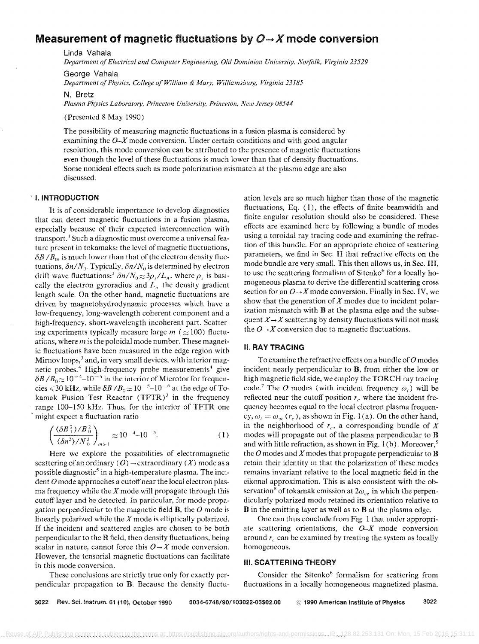### Measurement of magnetic fluctuations by  $O \rightarrow X$  mode conversion

linda Vahala

*Department of Electrical and Computer Engineering, Old Dominioll University. NOifolk, Virginia 23529* 

George Vahala *Department of Physics. College of William* & *Mary, Williamsburg, Virginia 23185* 

N. Bretz

Plasma Physics Laboratory, Princeton University, Princeton, New Jersey 08544

(Presented 8 May 1990)

The possibility of measuring magnetic fluctuations in a fusion plasma is considered by examining the  $O-X$  mode conversion. Under certain conditions and with good angular resolution, this mode conversion can be attributed to the presence of magnetic fluctuations even though the level of these fluctuations is much lower than that of density fluctuations. Some nonideal effects such as mode polarization mismatch at the plasma edge are also discussed.

#### . I. INTRODUCTION

It is of considerable importance to develop diagnostics that can detect magnetic fluctuations in a fusion plasma, especially because of their expected interconnection with transport.<sup>1</sup> Such a diagnostic must overcome a universal feature present in tokamaks: the level of magnetic fluctuations,  $\delta B/B_0$ , is much lower than that of the electron density fluctuations,  $\delta n/N_0$ . Typically,  $\delta n/N_0$  is determined by electron drift wave fluctuations:<sup>2</sup>  $\delta n/N_0 \approx 3\rho_s/L_n$ , where  $\rho_s$  is basically the electron gyroradius and  $L_n$  the density gradient length scale. On the other hand, magnetic fluctuations are driven by magnetohydrodynamic processes which have a low-frequency, long-wavelength coherent component and a high-frequency, short-wavelength incoherent part. Scattering experiments typically measure large  $m$  ( $\approx$ 100) fluctuations, where *m* is the poloidal mode number. These magnetic fluctuations have been measured in the edge region with Mirnov loops,<sup>3</sup> and, in very small devices, with interior magnetic probes.<sup>4</sup> High-frequency probe measurements<sup>4</sup> give  $\delta B/B_0 \approx 10^{-4}$ -10<sup>-5</sup> in the interior of Microtor for frequencies  $\leq 30$  kHz, while  $\delta B / B_0 \approx 10^{-5}$ –10<sup> $-6$ </sup> at the edge of Tokamak Fusion Test Reactor  $(TETR)^3$  in the frequency range lOO-IS0 kHz. Thus, for the interior of TFTR one might expect a fluctuation ratio

$$
\left(\frac{\langle \delta B_{\perp}^2 \rangle / B_0^2}{\langle \delta n^2 \rangle / N_0^2}\right)_{m \gg 1} \approx 10^{-4} - 10^{-5}.
$$
 (1)

Here we explore the possibilities of electromagnetic scattering of an ordinary (O)  $\rightarrow$  extraordinary (X) mode as a possible diagnostic<sup>5</sup> in a high-temperature plasma. The incident *0* mode approaches a cutoff near the local electron plasma frequency while the  $X$  mode will propagate through this cutoff layer and he detected. In particular, for mode propagation perpendicular to the magnetic field B, the *0* mode is linearly polarized while the  $X$  mode is elliptically polarized. If the incident and scattered angles are chosen to be both perpendicular to the B field, then density fluctuations, being scalar in nature, cannot force this  $O \rightarrow X$  mode conversion. However, the tensorial magnetic fluctuations can facilitate in this mode conversion.

These conclusions are strictly true only for exactly perpendicular propagation to B. Because the density fluctu-

ation levels are so much higher than those of the magnetic fluctuations, Eq. (1), the effects of finite beamwidth and finite angular resolution should also be considered. These effects are examined here by following a bundle of modes using a toroidal ray tracing code and examining the refraction of this bundle. For an appropriate choice of scattering parameters, we find in Sec. II that refractive effects on the mode bundle are very small. This then allows us, in Sec. III, to use the scattering formalism of Sitenko<sup>6</sup> for a locally homogeneous plasma to derive the differential scattering cross section for an  $O \rightarrow X$  mode conversion. Finally in Sec. IV, we show that the generation of *X* modes due to incident polarization mismatch with B at the plasma edge and the subsequent  $X \rightarrow X$  scattering by density fluctuations will not mask the  $O \rightarrow X$  conversion due to magnetic fluctuations.

#### **II. RAY TRACING**

To examine the refractive effects on a bundle of *0* modes incident nearly perpendicular to B, from either the low or high magnetic field side, we employ the TORCH ray tracing code.<sup>7</sup> The O modes (with incident frequency  $\omega_i$ ) will be reflected near the cutoff position  $r_c$  where the incident frequency becomes equal to the local electron plasma frequency,  $\omega_i = \omega_{pe}(r_c)$ , as shown in Fig. 1(a). On the other hand, in the neighborhood of  $r_c$ , a corresponding bundle of  $X$ modes will propagate out of the plasma perpendicular to B and with little refraction, as shown in Fig.  $1(b)$ . Moreover,<sup>5</sup> the O modes and X modes that propagate perpendicular to **B** retain their identity in that the polarization of these modes remains invariant relative to the local magnetic field in the eikonal approximation. This is also consistent with the observation<sup>8</sup> of tokamak emission at  $2\omega_{ce}$  in which the perpendicularly polarized mode retained its orientation relative to B in the emitting layer as well as to B at the plasma edge.

One can thus conclude from Fig. 1 that under appropriate scattering orientations, the *O-X* mode conversion around  $r_c$  can be examined by treating the system as locally homogeneous.

#### III. SCATTERING THEORY

Consider the Sitenko<sup>6</sup> formalism for scattering from fluctuations in a locally homogeneous magnetized plasma.

3022 Rev. Sci. Instrum. 61 (10), October 1990 0034-6748/90/103022-03\$02.00 © 1990 American Institute of Physics 3022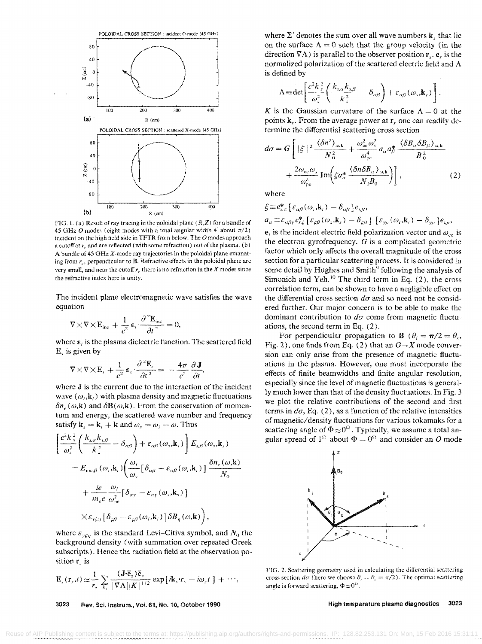

FIG. 1. (a) Result of ray tracing in the poloidal plane  $(R, Z)$  for a bundle of 45 GHz O modes (eight modes with a total angular width 4° about  $\pi/2$ ) incident on the high field side in TFTR from below. The O modes approach a cutoff at  $r_a$  and are reflected (with some refraction) out of the plasma. (b) A bundle of 45 GHz X-mode ray trajectories in the poloidal plane emanating from  $r_c$ , perpendicular to **B**. Refractive effects in the poloidal plane are very small, and near the cutoff  $r_c$  there is no refraction in the X modes since the refractive index here is unity.

The incident plane electromagnetic wave satisfies the wave equation

$$
\nabla \times \nabla \times \mathbf{E}_{\text{inc}} + \frac{1}{c^2} \mathbf{\varepsilon}_i \cdot \frac{\partial^2 \mathbf{E}_{\text{inc}}}{\partial t^2} = 0,
$$

where  $\varepsilon_i$  is the plasma dielectric function. The scattered field  $E<sub>s</sub>$  is given by

$$
\nabla \times \nabla \times \mathbf{E}_s + \frac{1}{c^2} \mathbf{\varepsilon}_s \cdot \frac{\partial^2 \mathbf{E}_s}{\partial t^2} = -\frac{4\pi}{c^2} \frac{\partial \mathbf{J}}{\partial t},
$$

where J is the current due to the interaction of the incident wave  $(\omega_i, \mathbf{k}_i)$  with plasma density and magnetic fluctuations  $\delta n_e(\omega, \mathbf{k})$  and  $\delta \mathbf{B}(\omega, \mathbf{k})$ . From the conservation of momentum and energy, the scattered wave number and frequency satisfy  $\mathbf{k}_{s} = \mathbf{k}_{i} + \mathbf{k}$  and  $\omega_{s} = \omega_{i} + \omega$ . Thus

$$
\begin{split}\n&\left[\frac{c^2k_s^2}{\omega_s^2}\left(\frac{k_{s,\alpha}k_{s,\beta}}{k_s^2}-\delta_{\alpha\beta}\right)+\varepsilon_{\alpha\beta}(\omega_s,\mathbf{k}_s)\right]E_{s,\beta}(\omega_s,\mathbf{k}_s) \\
&=E_{\text{inc},\beta}(\omega_i,\mathbf{k}_i)\left(\frac{\omega_i}{\omega_s}\left[\delta_{\alpha\beta}-\varepsilon_{\alpha\beta}(\omega_i,\mathbf{k}_i)\right]\frac{\delta n_e(\omega,\mathbf{k})}{N_0} \\
&+\frac{ie}{m_ec}\frac{\omega_i}{\omega_{\text{pe}}^2}\left[\delta_{\alpha\gamma}-\varepsilon_{\alpha\gamma}(\omega_s,\mathbf{k}_s)\right] \\
&\times\varepsilon_{\gamma\zeta\eta}\left[\delta_{\zeta\beta}-\varepsilon_{\zeta\beta}(\omega_i,\mathbf{k}_i)\right]\delta B_{\eta}(\omega,\mathbf{k})\right),\n\end{split}
$$

where  $\varepsilon_{\gamma\xi\eta}$  is the standard Levi-Citiva symbol, and  $N_0$  the background density (with summation over repeated Greek subscripts). Hence the radiation field at the observation position r. is

$$
\mathbf{E}_s(\mathbf{r}_s,t) \approx \frac{1}{r_s} \sum_{k_s} \frac{(\mathbf{J} \cdot \overline{\mathbf{e}}_s) \overline{\mathbf{e}}_s}{|\nabla \Lambda| |\mathbf{K}|^{1/2}} \exp \left[i \mathbf{k}_s \cdot \mathbf{r}_s - i \omega_s t \right] + \cdots,
$$

3023 Rev. Sci. Instrum., Vol. 61, No. 10, October 1990 where  $\Sigma'$  denotes the sum over all wave numbers  $k_{y}$ , that lie on the surface  $\Lambda = 0$  such that the group velocity (in the direction  $\nabla \Lambda$ ) is parallel to the observer position  $\mathbf{r}_{s}$ .  $\mathbf{e}_{s}$  is the normalized polarization of the scattered electric field and  $\Lambda$ is defined by

$$
\Lambda = \det \left[ \frac{c^2 k_s^2}{\omega_s^2} \left( \frac{k_{s,\alpha} k_{s,\beta}}{k_s^2} - \delta_{\alpha\beta} \right) + \varepsilon_{\alpha\beta} (\omega_s, \mathbf{k}_s) \right]
$$

K is the Gaussian curvature of the surface  $\Lambda = 0$  at the points  $k_{\nu}$ . From the average power at  $r_{\nu}$  one can readily determine the differential scattering cross section

$$
d\sigma = G \left[ |\xi|^{2} \frac{\langle \delta n^{2} \rangle_{\omega, \mathbf{k}}}{N_{0}^{2}} + \frac{\omega_{\rm ce}^{2} \omega_{s}^{2}}{\omega_{\rm pe}^{4}} a_{\alpha} a_{\beta}^{*} \frac{\langle \delta B_{\alpha} \delta B_{\beta} \rangle_{\omega, \mathbf{k}}}{B_{0}^{2}} + \frac{2\omega_{\rm ce} \omega_{s}}{\omega_{\rm pe}^{2}} \text{Im} \Big( \xi a_{\alpha}^{*} \frac{\langle \delta n \delta B_{\alpha} \rangle_{\omega, \mathbf{k}}}{N_{0} B_{0}} \Big) \right],
$$
 (2)

where

$$
\xi \equiv e_{s,\alpha}^* \left[ \varepsilon_{\alpha\beta}(\omega_i, \mathbf{k}_i) - \delta_{\alpha\beta} \right] e_{i,\beta},
$$
  
\n
$$
a_{\alpha} \equiv \varepsilon_{\alpha\beta\gamma} e_{s,\zeta}^* \left[ \varepsilon_{\zeta\beta}(\omega_s, \mathbf{k}_s) - \delta_{\zeta\beta} \right] \left[ \varepsilon_{\gamma\rho}(\omega_i, \mathbf{k}_i) - \delta_{\gamma\rho} \right] e_{i,\rho},
$$

 $\mathbf{e}_i$  is the incident electric field polarization vector and  $\omega_{ce}$  is the electron gyrofrequency.  $G$  is a complicated geometric factor which only affects the overall magnitude of the cross section for a particular scattering process. It is considered in some detail by Hughes and Smith<sup>9</sup> following the analysis of Simonich and Yeh.<sup>10</sup> The third term in Eq.  $(2)$ , the cross correlation term, can be shown to have a negligible effect on the differential cross section  $d\sigma$  and so need not be considered further. Our major concern is to be able to make the dominant contribution to  $d\sigma$  come from magnetic fluctuations, the second term in Eq.  $(2)$ .

For perpendicular propagation to **B** ( $\theta_i = \pi/2 = \theta_s$ , Fig. 2), one finds from Eq. (2) that an  $O \rightarrow X$  mode conversion can only arise from the presence of magnetic fluctuations in the plasma. However, one must incorporate the effects of finite beamwidths and finite angular resolution, especially since the level of magnetic fluctuations is generally much lower than that of the density fluctuations. In Fig. 3 we plot the relative contributions of the second and first terms in  $d\sigma$ , Eq. (2), as a function of the relative intensities of magnetic/density fluctuations for various tokamaks for a scattering angle of  $\Phi \approx 0^{\Omega}$ . Typically, we assume a total angular spread of 1<sup>th</sup> about  $\Phi = 0^{0}$  and consider an O mode



FIG. 2. Scattering geometry used in calculating the differential scattering cross section  $d\sigma$  (here we choose  $\theta_i - \theta_s = \pi/2$ ). The optimal scattering angle is forward scattering,  $\Phi \approx 0^{\Omega}$ .

3023 High temperature plasma diagnostics